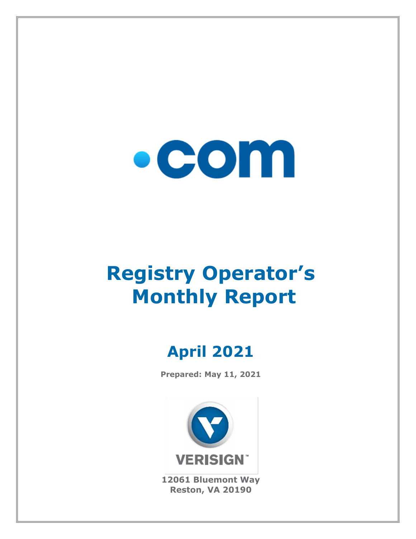

# **Registry Operator's Monthly Report**

# **April 2021**

**Prepared: May 11, 2021**



**12061 Bluemont Way Reston, VA 20190**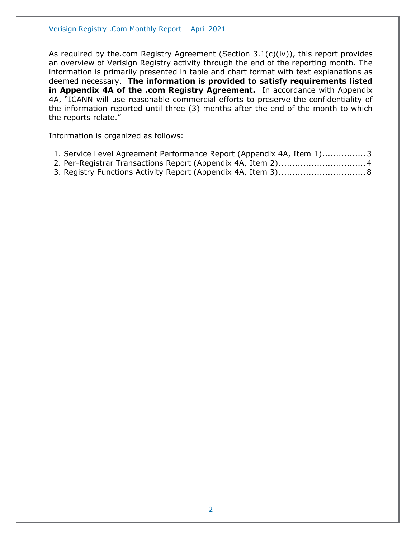As required by the.com Registry Agreement (Section  $3.1(c)(iv)$ ), this report provides an overview of Verisign Registry activity through the end of the reporting month. The information is primarily presented in table and chart format with text explanations as deemed necessary. **The information is provided to satisfy requirements listed in Appendix 4A of the .com Registry Agreement.** In accordance with Appendix 4A, "ICANN will use reasonable commercial efforts to preserve the confidentiality of the information reported until three (3) months after the end of the month to which the reports relate."

Information is organized as follows:

| 1. Service Level Agreement Performance Report (Appendix 4A, Item 1)3 |  |  |  |
|----------------------------------------------------------------------|--|--|--|
|----------------------------------------------------------------------|--|--|--|

- [2. Per-Registrar Transactions Report \(Appendix 4A,](#page-3-0) Item 2)................................4
- [3. Registry Functions Activity Report \(Appendix 4A, Item 3\)................................8](#page-7-0)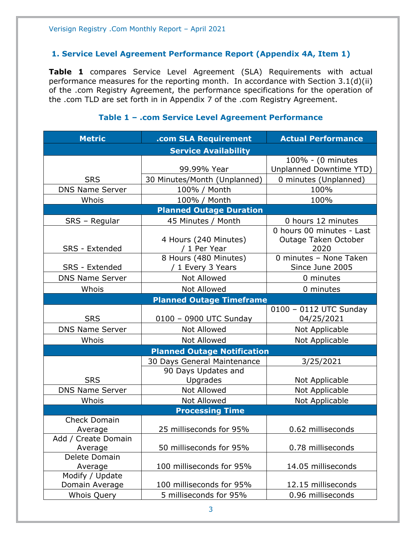#### <span id="page-2-0"></span>**1. Service Level Agreement Performance Report (Appendix 4A, Item 1)**

**Table 1** compares Service Level Agreement (SLA) Requirements with actual performance measures for the reporting month. In accordance with Section 3.1(d)(ii) of the .com Registry Agreement, the performance specifications for the operation of the .com TLD are set forth in in Appendix 7 of the .com Registry Agreement.

| <b>Metric</b>                     | .com SLA Requirement                       | <b>Actual Performance</b>                                 |
|-----------------------------------|--------------------------------------------|-----------------------------------------------------------|
|                                   | <b>Service Availability</b>                |                                                           |
|                                   |                                            | 100% - (0 minutes                                         |
|                                   | 99.99% Year                                | Unplanned Downtime YTD)                                   |
| <b>SRS</b>                        | 30 Minutes/Month (Unplanned)               | 0 minutes (Unplanned)                                     |
| <b>DNS Name Server</b>            | 100% / Month                               | 100%                                                      |
| Whois                             | 100% / Month                               | 100%                                                      |
|                                   | <b>Planned Outage Duration</b>             |                                                           |
| SRS - Regular                     | 45 Minutes / Month                         | 0 hours 12 minutes                                        |
| SRS - Extended                    | 4 Hours (240 Minutes)<br>/ 1 Per Year      | 0 hours 00 minutes - Last<br>Outage Taken October<br>2020 |
| <b>SRS - Extended</b>             | 8 Hours (480 Minutes)<br>/ 1 Every 3 Years | 0 minutes - None Taken<br>Since June 2005                 |
| <b>DNS Name Server</b>            | Not Allowed                                | 0 minutes                                                 |
| Whois                             | Not Allowed                                | 0 minutes                                                 |
|                                   | <b>Planned Outage Timeframe</b>            |                                                           |
|                                   |                                            | 0100 - 0112 UTC Sunday                                    |
| <b>SRS</b>                        | 0100 - 0900 UTC Sunday                     | 04/25/2021                                                |
| <b>DNS Name Server</b>            | Not Allowed                                | Not Applicable                                            |
| Whois                             | <b>Not Allowed</b>                         | Not Applicable                                            |
|                                   | <b>Planned Outage Notification</b>         |                                                           |
|                                   | 30 Days General Maintenance                | 3/25/2021                                                 |
| <b>SRS</b>                        | 90 Days Updates and<br>Upgrades            | Not Applicable                                            |
| <b>DNS Name Server</b>            | Not Allowed                                | Not Applicable                                            |
| Whois                             | Not Allowed                                | Not Applicable                                            |
|                                   | <b>Processing Time</b>                     |                                                           |
| <b>Check Domain</b>               |                                            |                                                           |
| Average                           | 25 milliseconds for 95%                    | 0.62 milliseconds                                         |
| Add / Create Domain<br>Average    | 50 milliseconds for 95%                    | 0.78 milliseconds                                         |
| Delete Domain                     |                                            |                                                           |
| Average                           | 100 milliseconds for 95%                   | 14.05 milliseconds                                        |
| Modify / Update<br>Domain Average | 100 milliseconds for 95%                   | 12.15 milliseconds                                        |
| <b>Whois Query</b>                | 5 milliseconds for 95%                     | 0.96 milliseconds                                         |

#### **Table 1 – .com Service Level Agreement Performance**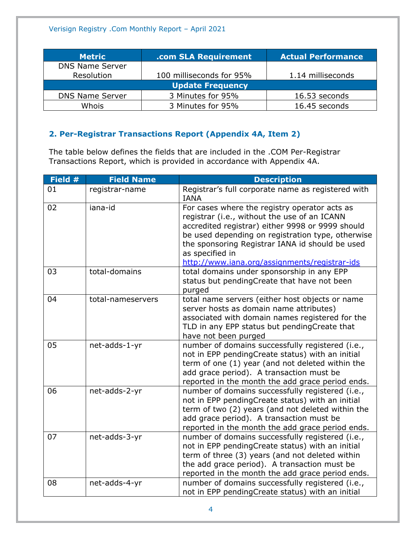| <b>Metric</b>          | .com SLA Requirement     | <b>Actual Performance</b> |
|------------------------|--------------------------|---------------------------|
| <b>DNS Name Server</b> |                          |                           |
| Resolution             | 100 milliseconds for 95% | 1.14 milliseconds         |
|                        | <b>Update Frequency</b>  |                           |
| <b>DNS Name Server</b> | 3 Minutes for 95%        | 16.53 seconds             |
| Whois                  | 3 Minutes for 95%        | 16.45 seconds             |

# <span id="page-3-0"></span>**2. Per-Registrar Transactions Report (Appendix 4A, Item 2)**

The table below defines the fields that are included in the .COM Per-Registrar Transactions Report, which is provided in accordance with Appendix 4A.

| Field # | <b>Field Name</b> | <b>Description</b>                                                                                                                                                                                                                                                                                                            |
|---------|-------------------|-------------------------------------------------------------------------------------------------------------------------------------------------------------------------------------------------------------------------------------------------------------------------------------------------------------------------------|
| 01      | registrar-name    | Registrar's full corporate name as registered with<br><b>IANA</b>                                                                                                                                                                                                                                                             |
| 02      | iana-id           | For cases where the registry operator acts as<br>registrar (i.e., without the use of an ICANN<br>accredited registrar) either 9998 or 9999 should<br>be used depending on registration type, otherwise<br>the sponsoring Registrar IANA id should be used<br>as specified in<br>http://www.iana.org/assignments/registrar-ids |
| 03      | total-domains     | total domains under sponsorship in any EPP<br>status but pendingCreate that have not been<br>purged                                                                                                                                                                                                                           |
| 04      | total-nameservers | total name servers (either host objects or name<br>server hosts as domain name attributes)<br>associated with domain names registered for the<br>TLD in any EPP status but pendingCreate that<br>have not been purged                                                                                                         |
| 05      | net-adds-1-yr     | number of domains successfully registered (i.e.,<br>not in EPP pendingCreate status) with an initial<br>term of one (1) year (and not deleted within the<br>add grace period). A transaction must be<br>reported in the month the add grace period ends.                                                                      |
| 06      | net-adds-2-yr     | number of domains successfully registered (i.e.,<br>not in EPP pendingCreate status) with an initial<br>term of two (2) years (and not deleted within the<br>add grace period). A transaction must be<br>reported in the month the add grace period ends.                                                                     |
| 07      | net-adds-3-yr     | number of domains successfully registered (i.e.,<br>not in EPP pendingCreate status) with an initial<br>term of three (3) years (and not deleted within<br>the add grace period). A transaction must be<br>reported in the month the add grace period ends.                                                                   |
| 08      | net-adds-4-yr     | number of domains successfully registered (i.e.,<br>not in EPP pendingCreate status) with an initial                                                                                                                                                                                                                          |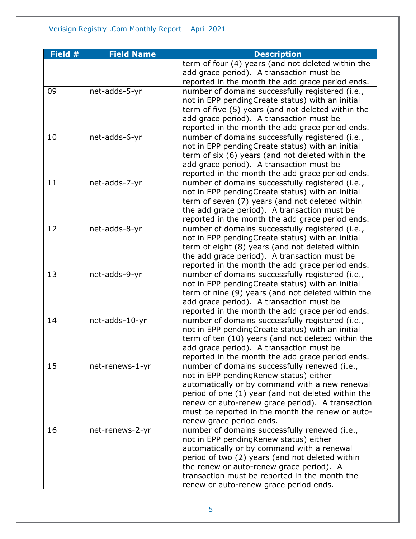| Field # | <b>Field Name</b> | <b>Description</b>                                                                       |
|---------|-------------------|------------------------------------------------------------------------------------------|
|         |                   | term of four (4) years (and not deleted within the                                       |
|         |                   | add grace period). A transaction must be                                                 |
|         |                   | reported in the month the add grace period ends.                                         |
| 09      | net-adds-5-yr     | number of domains successfully registered (i.e.,                                         |
|         |                   | not in EPP pendingCreate status) with an initial                                         |
|         |                   | term of five (5) years (and not deleted within the                                       |
|         |                   | add grace period). A transaction must be                                                 |
|         |                   | reported in the month the add grace period ends.                                         |
| 10      | net-adds-6-yr     | number of domains successfully registered (i.e.,                                         |
|         |                   | not in EPP pendingCreate status) with an initial                                         |
|         |                   | term of six (6) years (and not deleted within the                                        |
|         |                   | add grace period). A transaction must be                                                 |
|         |                   | reported in the month the add grace period ends.                                         |
| 11      | net-adds-7-yr     | number of domains successfully registered (i.e.,                                         |
|         |                   | not in EPP pendingCreate status) with an initial                                         |
|         |                   | term of seven (7) years (and not deleted within                                          |
|         |                   | the add grace period). A transaction must be                                             |
|         |                   | reported in the month the add grace period ends.                                         |
| 12      | net-adds-8-yr     | number of domains successfully registered (i.e.,                                         |
|         |                   | not in EPP pendingCreate status) with an initial                                         |
|         |                   | term of eight (8) years (and not deleted within                                          |
|         |                   | the add grace period). A transaction must be                                             |
|         |                   | reported in the month the add grace period ends.                                         |
| 13      | net-adds-9-yr     | number of domains successfully registered (i.e.,                                         |
|         |                   | not in EPP pendingCreate status) with an initial                                         |
|         |                   | term of nine (9) years (and not deleted within the                                       |
|         |                   | add grace period). A transaction must be                                                 |
|         |                   | reported in the month the add grace period ends.                                         |
| 14      | net-adds-10-yr    | number of domains successfully registered (i.e.,                                         |
|         |                   | not in EPP pendingCreate status) with an initial                                         |
|         |                   | term of ten (10) years (and not deleted within the                                       |
|         |                   | add grace period). A transaction must be                                                 |
|         |                   | reported in the month the add grace period ends.                                         |
| 15      | net-renews-1-yr   | number of domains successfully renewed (i.e.,                                            |
|         |                   | not in EPP pendingRenew status) either<br>automatically or by command with a new renewal |
|         |                   | period of one (1) year (and not deleted within the                                       |
|         |                   | renew or auto-renew grace period). A transaction                                         |
|         |                   | must be reported in the month the renew or auto-                                         |
|         |                   | renew grace period ends.                                                                 |
| 16      | net-renews-2-yr   | number of domains successfully renewed (i.e.,                                            |
|         |                   | not in EPP pendingRenew status) either                                                   |
|         |                   | automatically or by command with a renewal                                               |
|         |                   | period of two (2) years (and not deleted within                                          |
|         |                   | the renew or auto-renew grace period). A                                                 |
|         |                   | transaction must be reported in the month the                                            |
|         |                   | renew or auto-renew grace period ends.                                                   |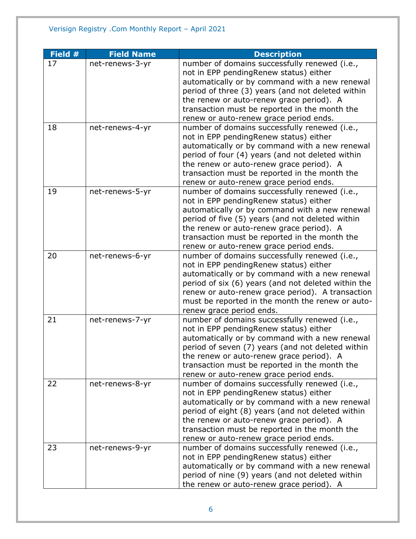| Field # | <b>Field Name</b> | <b>Description</b>                                                                                   |
|---------|-------------------|------------------------------------------------------------------------------------------------------|
| 17      | net-renews-3-yr   | number of domains successfully renewed (i.e.,                                                        |
|         |                   | not in EPP pendingRenew status) either                                                               |
|         |                   | automatically or by command with a new renewal                                                       |
|         |                   | period of three (3) years (and not deleted within                                                    |
|         |                   | the renew or auto-renew grace period). A                                                             |
|         |                   | transaction must be reported in the month the                                                        |
|         |                   | renew or auto-renew grace period ends.                                                               |
| 18      | net-renews-4-yr   | number of domains successfully renewed (i.e.,                                                        |
|         |                   | not in EPP pendingRenew status) either                                                               |
|         |                   | automatically or by command with a new renewal                                                       |
|         |                   | period of four (4) years (and not deleted within                                                     |
|         |                   | the renew or auto-renew grace period). A                                                             |
|         |                   | transaction must be reported in the month the                                                        |
|         |                   | renew or auto-renew grace period ends.                                                               |
| 19      | net-renews-5-yr   | number of domains successfully renewed (i.e.,                                                        |
|         |                   | not in EPP pendingRenew status) either                                                               |
|         |                   | automatically or by command with a new renewal                                                       |
|         |                   | period of five (5) years (and not deleted within                                                     |
|         |                   | the renew or auto-renew grace period). A                                                             |
|         |                   | transaction must be reported in the month the                                                        |
|         |                   | renew or auto-renew grace period ends.                                                               |
| 20      | net-renews-6-yr   | number of domains successfully renewed (i.e.,                                                        |
|         |                   | not in EPP pendingRenew status) either                                                               |
|         |                   | automatically or by command with a new renewal                                                       |
|         |                   | period of six (6) years (and not deleted within the                                                  |
|         |                   | renew or auto-renew grace period). A transaction<br>must be reported in the month the renew or auto- |
|         |                   |                                                                                                      |
| 21      | net-renews-7-yr   | renew grace period ends.<br>number of domains successfully renewed (i.e.,                            |
|         |                   | not in EPP pendingRenew status) either                                                               |
|         |                   | automatically or by command with a new renewal                                                       |
|         |                   | period of seven (7) years (and not deleted within                                                    |
|         |                   | the renew or auto-renew grace period). A                                                             |
|         |                   | transaction must be reported in the month the                                                        |
|         |                   | renew or auto-renew grace period ends.                                                               |
| 22      | net-renews-8-yr   | number of domains successfully renewed (i.e.,                                                        |
|         |                   | not in EPP pendingRenew status) either                                                               |
|         |                   | automatically or by command with a new renewal                                                       |
|         |                   | period of eight (8) years (and not deleted within                                                    |
|         |                   | the renew or auto-renew grace period). A                                                             |
|         |                   | transaction must be reported in the month the                                                        |
|         |                   | renew or auto-renew grace period ends.                                                               |
| 23      | net-renews-9-yr   | number of domains successfully renewed (i.e.,                                                        |
|         |                   | not in EPP pendingRenew status) either                                                               |
|         |                   | automatically or by command with a new renewal                                                       |
|         |                   | period of nine (9) years (and not deleted within                                                     |
|         |                   | the renew or auto-renew grace period). A                                                             |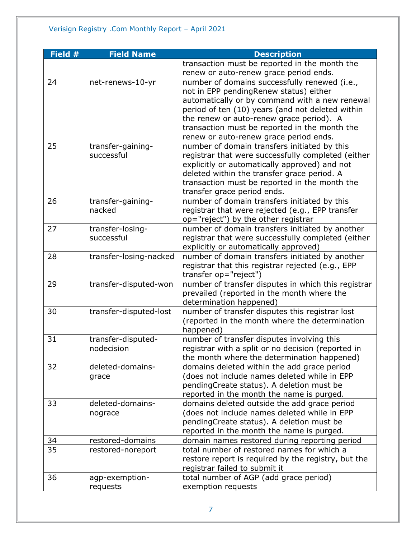| Field $#$ | <b>Field Name</b>      | <b>Description</b>                                  |
|-----------|------------------------|-----------------------------------------------------|
|           |                        | transaction must be reported in the month the       |
|           |                        | renew or auto-renew grace period ends.              |
| 24        | net-renews-10-yr       | number of domains successfully renewed (i.e.,       |
|           |                        | not in EPP pendingRenew status) either              |
|           |                        | automatically or by command with a new renewal      |
|           |                        | period of ten (10) years (and not deleted within    |
|           |                        | the renew or auto-renew grace period). A            |
|           |                        | transaction must be reported in the month the       |
|           |                        | renew or auto-renew grace period ends.              |
| 25        | transfer-gaining-      | number of domain transfers initiated by this        |
|           | successful             | registrar that were successfully completed (either  |
|           |                        | explicitly or automatically approved) and not       |
|           |                        | deleted within the transfer grace period. A         |
|           |                        | transaction must be reported in the month the       |
|           |                        | transfer grace period ends.                         |
| 26        | transfer-gaining-      | number of domain transfers initiated by this        |
|           | nacked                 | registrar that were rejected (e.g., EPP transfer    |
|           |                        | op="reject") by the other registrar                 |
| 27        | transfer-losing-       | number of domain transfers initiated by another     |
|           | successful             | registrar that were successfully completed (either  |
|           |                        | explicitly or automatically approved)               |
| 28        | transfer-losing-nacked | number of domain transfers initiated by another     |
|           |                        | registrar that this registrar rejected (e.g., EPP   |
|           |                        | transfer op="reject")                               |
| 29        | transfer-disputed-won  | number of transfer disputes in which this registrar |
|           |                        | prevailed (reported in the month where the          |
|           |                        | determination happened)                             |
| 30        | transfer-disputed-lost | number of transfer disputes this registrar lost     |
|           |                        | (reported in the month where the determination      |
|           |                        | happened)                                           |
| 31        | transfer-disputed-     | number of transfer disputes involving this          |
|           | nodecision             | registrar with a split or no decision (reported in  |
|           |                        | the month where the determination happened)         |
| 32        | deleted-domains-       | domains deleted within the add grace period         |
|           | grace                  | (does not include names deleted while in EPP        |
|           |                        | pendingCreate status). A deletion must be           |
|           |                        | reported in the month the name is purged.           |
| 33        | deleted-domains-       | domains deleted outside the add grace period        |
|           | nograce                | (does not include names deleted while in EPP        |
|           |                        | pendingCreate status). A deletion must be           |
|           |                        | reported in the month the name is purged.           |
| 34        | restored-domains       | domain names restored during reporting period       |
| 35        | restored-noreport      | total number of restored names for which a          |
|           |                        | restore report is required by the registry, but the |
|           |                        | registrar failed to submit it                       |
| 36        | agp-exemption-         | total number of AGP (add grace period)              |
|           | requests               | exemption requests                                  |
|           |                        |                                                     |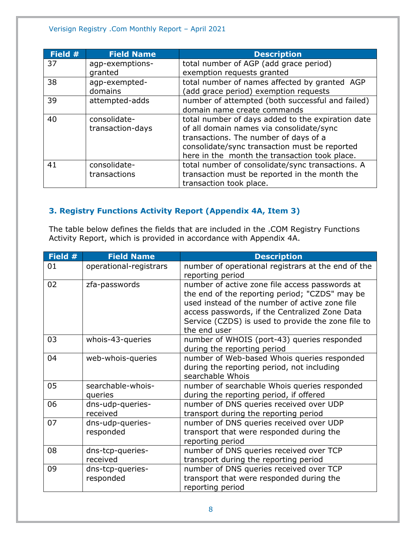| Field # | <b>Field Name</b> | <b>Description</b>                                |
|---------|-------------------|---------------------------------------------------|
| 37      | agp-exemptions-   | total number of AGP (add grace period)            |
|         | granted           | exemption requests granted                        |
| 38      | agp-exempted-     | total number of names affected by granted AGP     |
|         | domains           | (add grace period) exemption requests             |
| 39      | attempted-adds    | number of attempted (both successful and failed)  |
|         |                   | domain name create commands                       |
| 40      | consolidate-      | total number of days added to the expiration date |
|         | transaction-days  | of all domain names via consolidate/sync          |
|         |                   | transactions. The number of days of a             |
|         |                   | consolidate/sync transaction must be reported     |
|         |                   | here in the month the transaction took place.     |
| 41      | consolidate-      | total number of consolidate/sync transactions. A  |
|         | transactions      | transaction must be reported in the month the     |
|         |                   | transaction took place.                           |

## <span id="page-7-0"></span>**3. Registry Functions Activity Report (Appendix 4A, Item 3)**

The table below defines the fields that are included in the .COM Registry Functions Activity Report, which is provided in accordance with Appendix 4A.

| Field # | <b>Field Name</b>             | <b>Description</b>                                                                                                                                                                                                                                                         |
|---------|-------------------------------|----------------------------------------------------------------------------------------------------------------------------------------------------------------------------------------------------------------------------------------------------------------------------|
| 01      | operational-registrars        | number of operational registrars at the end of the<br>reporting period                                                                                                                                                                                                     |
| 02      | zfa-passwords                 | number of active zone file access passwords at<br>the end of the reporting period; "CZDS" may be<br>used instead of the number of active zone file<br>access passwords, if the Centralized Zone Data<br>Service (CZDS) is used to provide the zone file to<br>the end user |
| 03      | whois-43-queries              | number of WHOIS (port-43) queries responded<br>during the reporting period                                                                                                                                                                                                 |
| 04      | web-whois-queries             | number of Web-based Whois queries responded<br>during the reporting period, not including<br>searchable Whois                                                                                                                                                              |
| 05      | searchable-whois-<br>queries  | number of searchable Whois queries responded<br>during the reporting period, if offered                                                                                                                                                                                    |
| 06      | dns-udp-queries-<br>received  | number of DNS queries received over UDP<br>transport during the reporting period                                                                                                                                                                                           |
| 07      | dns-udp-queries-<br>responded | number of DNS queries received over UDP<br>transport that were responded during the<br>reporting period                                                                                                                                                                    |
| 08      | dns-tcp-queries-<br>received  | number of DNS queries received over TCP<br>transport during the reporting period                                                                                                                                                                                           |
| 09      | dns-tcp-queries-<br>responded | number of DNS queries received over TCP<br>transport that were responded during the<br>reporting period                                                                                                                                                                    |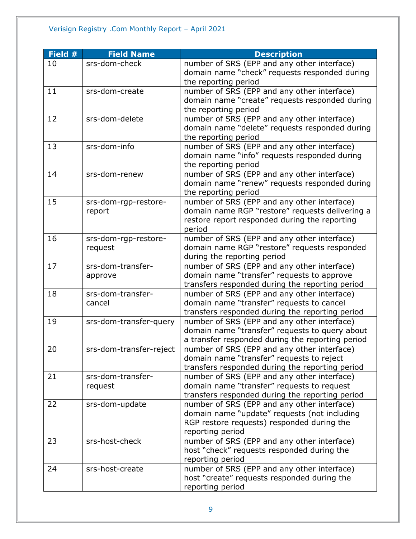| Field # | <b>Field Name</b>       | <b>Description</b>                               |
|---------|-------------------------|--------------------------------------------------|
| 10      | srs-dom-check           | number of SRS (EPP and any other interface)      |
|         |                         | domain name "check" requests responded during    |
|         |                         | the reporting period                             |
| 11      | srs-dom-create          | number of SRS (EPP and any other interface)      |
|         |                         | domain name "create" requests responded during   |
|         |                         | the reporting period                             |
| 12      | srs-dom-delete          | number of SRS (EPP and any other interface)      |
|         |                         | domain name "delete" requests responded during   |
|         |                         | the reporting period                             |
| 13      | srs-dom-info            | number of SRS (EPP and any other interface)      |
|         |                         | domain name "info" requests responded during     |
|         |                         | the reporting period                             |
| 14      | srs-dom-renew           | number of SRS (EPP and any other interface)      |
|         |                         | domain name "renew" requests responded during    |
|         |                         | the reporting period                             |
| 15      | srs-dom-rgp-restore-    | number of SRS (EPP and any other interface)      |
|         | report                  | domain name RGP "restore" requests delivering a  |
|         |                         | restore report responded during the reporting    |
|         |                         | period                                           |
| 16      | srs-dom-rgp-restore-    | number of SRS (EPP and any other interface)      |
|         | request                 | domain name RGP "restore" requests responded     |
|         |                         | during the reporting period                      |
| 17      | srs-dom-transfer-       | number of SRS (EPP and any other interface)      |
|         | approve                 | domain name "transfer" requests to approve       |
|         |                         | transfers responded during the reporting period  |
| 18      | srs-dom-transfer-       | number of SRS (EPP and any other interface)      |
|         | cancel                  | domain name "transfer" requests to cancel        |
|         |                         | transfers responded during the reporting period  |
| 19      | srs-dom-transfer-query  | number of SRS (EPP and any other interface)      |
|         |                         | domain name "transfer" requests to query about   |
|         |                         | a transfer responded during the reporting period |
| 20      | srs-dom-transfer-reject | number of SRS (EPP and any other interface)      |
|         |                         | domain name "transfer" requests to reject        |
|         |                         | transfers responded during the reporting period  |
| 21      | srs-dom-transfer-       | number of SRS (EPP and any other interface)      |
|         | request                 | domain name "transfer" requests to request       |
|         |                         | transfers responded during the reporting period  |
| 22      | srs-dom-update          | number of SRS (EPP and any other interface)      |
|         |                         | domain name "update" requests (not including     |
|         |                         | RGP restore requests) responded during the       |
|         |                         | reporting period                                 |
| 23      | srs-host-check          | number of SRS (EPP and any other interface)      |
|         |                         | host "check" requests responded during the       |
|         |                         | reporting period                                 |
| 24      | srs-host-create         | number of SRS (EPP and any other interface)      |
|         |                         | host "create" requests responded during the      |
|         |                         | reporting period                                 |